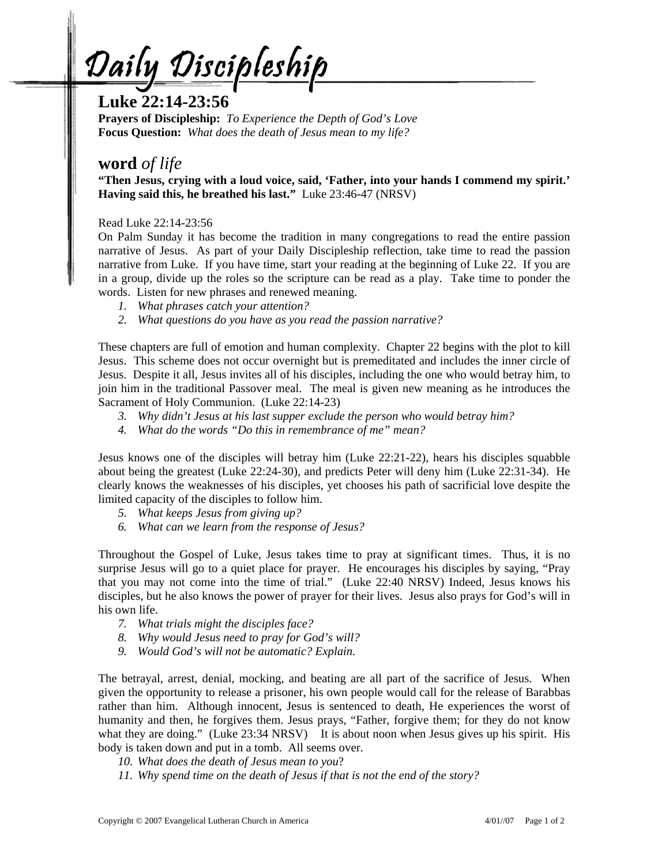Daily Discipleship

# **Luke 22:14-23:56**

**Prayers of Discipleship:** *To Experience the Depth of God's Love*  **Focus Question:** *What does the death of Jesus mean to my life?*

## **word** *of life*

**"Then Jesus, crying with a loud voice, said, 'Father, into your hands I commend my spirit.' Having said this, he breathed his last."** Luke 23:46-47 (NRSV)

Read Luke 22:14-23:56

On Palm Sunday it has become the tradition in many congregations to read the entire passion narrative of Jesus. As part of your Daily Discipleship reflection, take time to read the passion narrative from Luke. If you have time, start your reading at the beginning of Luke 22. If you are in a group, divide up the roles so the scripture can be read as a play. Take time to ponder the words. Listen for new phrases and renewed meaning.

- *1. What phrases catch your attention?*
- *2. What questions do you have as you read the passion narrative?*

These chapters are full of emotion and human complexity. Chapter 22 begins with the plot to kill Jesus. This scheme does not occur overnight but is premeditated and includes the inner circle of Jesus. Despite it all, Jesus invites all of his disciples, including the one who would betray him, to join him in the traditional Passover meal. The meal is given new meaning as he introduces the Sacrament of Holy Communion. (Luke 22:14-23)

- *3. Why didn't Jesus at his last supper exclude the person who would betray him?*
- *4. What do the words "Do this in remembrance of me" mean?*

Jesus knows one of the disciples will betray him (Luke 22:21-22), hears his disciples squabble about being the greatest (Luke 22:24-30), and predicts Peter will deny him (Luke 22:31-34). He clearly knows the weaknesses of his disciples, yet chooses his path of sacrificial love despite the limited capacity of the disciples to follow him.

- *5. What keeps Jesus from giving up?*
- *6. What can we learn from the response of Jesus?*

Throughout the Gospel of Luke, Jesus takes time to pray at significant times. Thus, it is no surprise Jesus will go to a quiet place for prayer. He encourages his disciples by saying, "Pray that you may not come into the time of trial." (Luke 22:40 NRSV) Indeed, Jesus knows his disciples, but he also knows the power of prayer for their lives. Jesus also prays for God's will in his own life.

- *7. What trials might the disciples face?*
- *8. Why would Jesus need to pray for God's will?*
- *9. Would God's will not be automatic? Explain.*

The betrayal, arrest, denial, mocking, and beating are all part of the sacrifice of Jesus. When given the opportunity to release a prisoner, his own people would call for the release of Barabbas rather than him. Although innocent, Jesus is sentenced to death, He experiences the worst of humanity and then, he forgives them. Jesus prays, "Father, forgive them; for they do not know what they are doing." (Luke 23:34 NRSV) It is about noon when Jesus gives up his spirit. His body is taken down and put in a tomb. All seems over.

- *10. What does the death of Jesus mean to you*?
- *11. Why spend time on the death of Jesus if that is not the end of the story?*